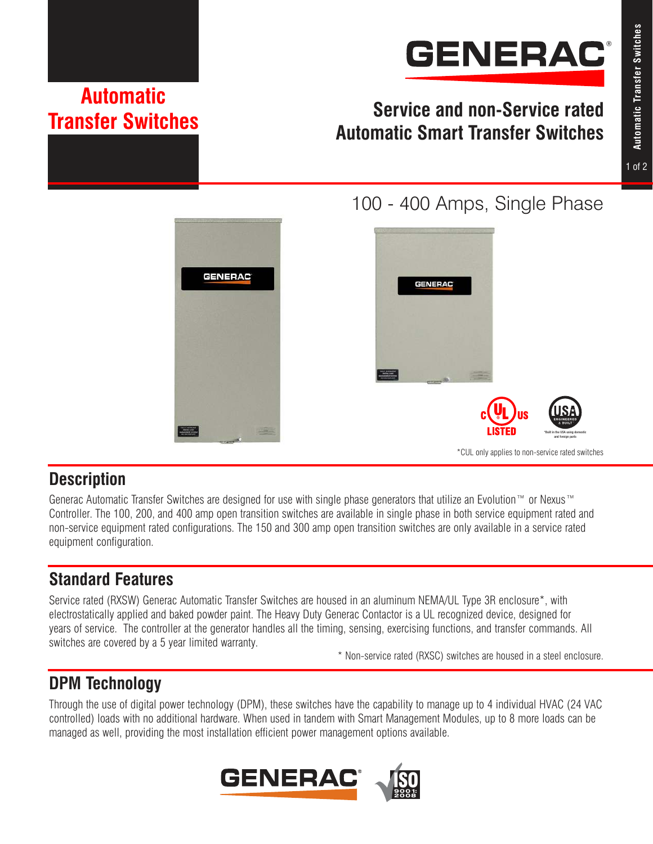

# **Service and non-Service rated Automatic Smart Transfer Switches**







## **Description**

Generac Automatic Transfer Switches are designed for use with single phase generators that utilize an Evolution™ or Nexus™ Controller. The 100, 200, and 400 amp open transition switches are available in single phase in both service equipment rated and non-service equipment rated configurations. The 150 and 300 amp open transition switches are only available in a service rated equipment configuration.

# **Standard Features**

Service rated (RXSW) Generac Automatic Transfer Switches are housed in an aluminum NEMA/UL Type 3R enclosure\*, with electrostatically applied and baked powder paint. The Heavy Duty Generac Contactor is a UL recognized device, designed for years of service. The controller at the generator handles all the timing, sensing, exercising functions, and transfer commands. All switches are covered by a 5 year limited warranty.

\* Non-service rated (RXSC) switches are housed in a steel enclosure.

# **DPM Technology**

Through the use of digital power technology (DPM), these switches have the capability to manage up to 4 individual HVAC (24 VAC controlled) loads with no additional hardware. When used in tandem with Smart Management Modules, up to 8 more loads can be managed as well, providing the most installation efficient power management options available.